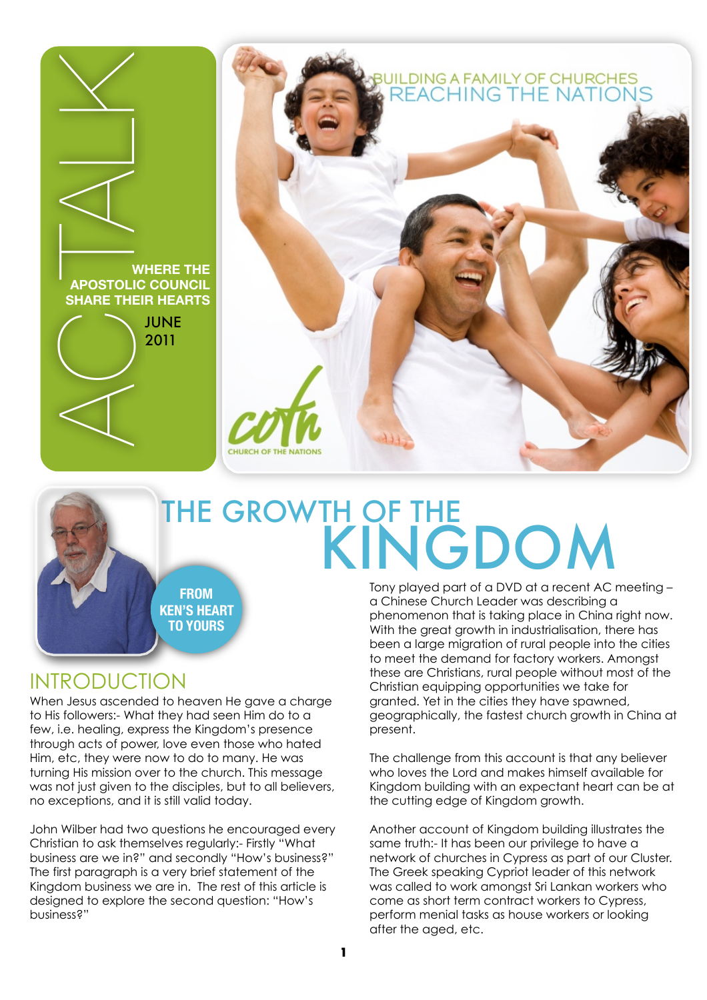

# **JILDING A FAMILY OF CHURCHES<br>REACHING THE NATIONS**

# THE GROWTH OF THE KINGDOM

**FROM KEN'S HEART TO YOURS**

## INTRODUCTION

When Jesus ascended to heaven He gave a charge to His followers:- What they had seen Him do to a few, i.e. healing, express the Kingdom's presence through acts of power, love even those who hated Him, etc, they were now to do to many. He was turning His mission over to the church. This message was not just given to the disciples, but to all believers, no exceptions, and it is still valid today.

John Wilber had two questions he encouraged every Christian to ask themselves regularly:- Firstly "What business are we in?" and secondly "How's business?" The first paragraph is a very brief statement of the Kingdom business we are in. The rest of this article is designed to explore the second question: "How's business?"

Tony played part of a DVD at a recent AC meeting – a Chinese Church Leader was describing a phenomenon that is taking place in China right now. With the great growth in industrialisation, there has been a large migration of rural people into the cities to meet the demand for factory workers. Amongst these are Christians, rural people without most of the Christian equipping opportunities we take for granted. Yet in the cities they have spawned, geographically, the fastest church growth in China at present.

The challenge from this account is that any believer who loves the Lord and makes himself available for Kingdom building with an expectant heart can be at the cutting edge of Kingdom growth.

Another account of Kingdom building illustrates the same truth:- It has been our privilege to have a network of churches in Cypress as part of our Cluster. The Greek speaking Cypriot leader of this network was called to work amongst Sri Lankan workers who come as short term contract workers to Cypress, perform menial tasks as house workers or looking after the aged, etc.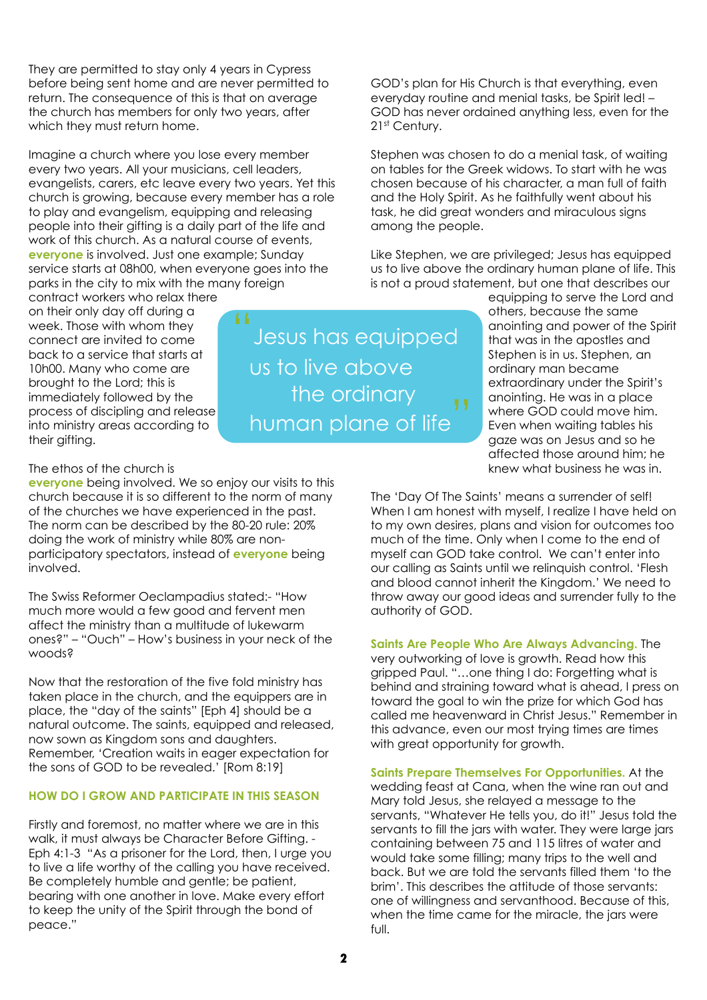They are permitted to stay only 4 years in Cypress before being sent home and are never permitted to return. The consequence of this is that on average the church has members for only two years, after which they must return home.

Imagine a church where you lose every member every two years. All your musicians, cell leaders, evangelists, carers, etc leave every two years. Yet this church is growing, because every member has a role to play and evangelism, equipping and releasing people into their gifting is a daily part of the life and work of this church. As a natural course of events, **everyone** is involved. Just one example; Sunday service starts at 08h00, when everyone goes into the parks in the city to mix with the many foreign

contract workers who relax there on their only day off during a week. Those with whom they connect are invited to come back to a service that starts at 10h00. Many who come are brought to the Lord; this is immediately followed by the process of discipling and release into ministry areas according to their gifting.

Jesus has equipped us to live above the ordinary human plane of life

GOD's plan for His Church is that everything, even everyday routine and menial tasks, be Spirit led! – GOD has never ordained anything less, even for the 21<sup>st</sup> Century.

Stephen was chosen to do a menial task, of waiting on tables for the Greek widows. To start with he was chosen because of his character, a man full of faith and the Holy Spirit. As he faithfully went about his task, he did great wonders and miraculous signs among the people.

Like Stephen, we are privileged; Jesus has equipped us to live above the ordinary human plane of life. This is not a proud statement, but one that describes our

> equipping to serve the Lord and others, because the same anointing and power of the Spirit that was in the apostles and Stephen is in us. Stephen, an ordinary man became extraordinary under the Spirit's anointing. He was in a place where GOD could move him. Even when waiting tables his gaze was on Jesus and so he affected those around him; he knew what business he was in.

The 'Day Of The Saints' means a surrender of self! When I am honest with myself, I realize I have held on to my own desires, plans and vision for outcomes too much of the time. Only when I come to the end of myself can GOD take control. We can't enter into our calling as Saints until we relinquish control. 'Flesh and blood cannot inherit the Kingdom.' We need to throw away our good ideas and surrender fully to the authority of GOD.

**Saints Are People Who Are Always Advancing.** The very outworking of love is growth. Read how this gripped Paul. "…one thing I do: Forgetting what is behind and straining toward what is ahead, I press on toward the goal to win the prize for which God has called me heavenward in Christ Jesus." Remember in this advance, even our most trying times are times with great opportunity for growth.

**Saints Prepare Themselves For Opportunities.** At the wedding feast at Cana, when the wine ran out and Mary told Jesus, she relayed a message to the servants, "Whatever He tells you, do it!" Jesus told the servants to fill the jars with water. They were large jars containing between 75 and 115 litres of water and would take some filling; many trips to the well and back. But we are told the servants filled them 'to the brim'. This describes the attitude of those servants: one of willingness and servanthood. Because of this, when the time came for the miracle, the jars were full.

### The ethos of the church is

**everyone** being involved. We so enjoy our visits to this church because it is so different to the norm of many of the churches we have experienced in the past. The norm can be described by the 80-20 rule: 20% doing the work of ministry while 80% are nonparticipatory spectators, instead of **everyone** being involved.

The Swiss Reformer Oeclampadius stated:- "How much more would a few good and fervent men affect the ministry than a multitude of lukewarm ones?" – "Ouch" – How's business in your neck of the woods?

Now that the restoration of the five fold ministry has taken place in the church, and the equippers are in place, the "day of the saints" [Eph 4] should be a natural outcome. The saints, equipped and released, now sown as Kingdom sons and daughters. Remember, 'Creation waits in eager expectation for the sons of GOD to be revealed.' [Rom 8:19]

### **HOW DO I GROW AND PARTICIPATE IN THIS SEASON**

Firstly and foremost, no matter where we are in this walk, it must always be Character Before Gifting. - Eph 4:1-3 "As a prisoner for the Lord, then, I urge you to live a life worthy of the calling you have received. Be completely humble and gentle; be patient, bearing with one another in love. Make every effort to keep the unity of the Spirit through the bond of peace."